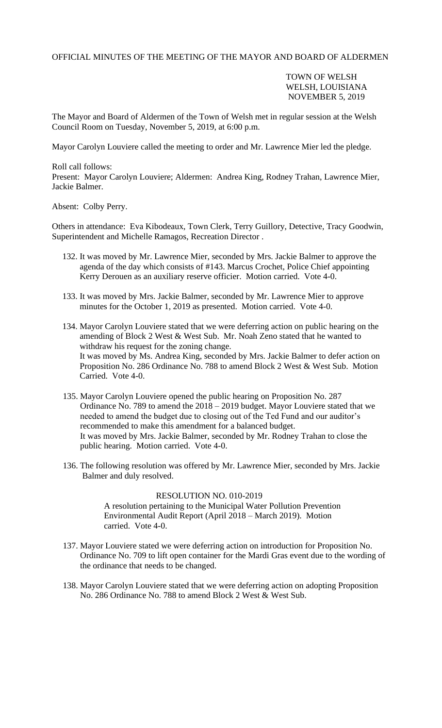OFFICIAL MINUTES OF THE MEETING OF THE MAYOR AND BOARD OF ALDERMEN

## TOWN OF WELSH WELSH, LOUISIANA NOVEMBER 5, 2019

The Mayor and Board of Aldermen of the Town of Welsh met in regular session at the Welsh Council Room on Tuesday, November 5, 2019, at 6:00 p.m.

Mayor Carolyn Louviere called the meeting to order and Mr. Lawrence Mier led the pledge.

Roll call follows: Present: Mayor Carolyn Louviere; Aldermen: Andrea King, Rodney Trahan, Lawrence Mier, Jackie Balmer.

Absent: Colby Perry.

Others in attendance: Eva Kibodeaux, Town Clerk, Terry Guillory, Detective, Tracy Goodwin, Superintendent and Michelle Ramagos, Recreation Director .

- 132. It was moved by Mr. Lawrence Mier, seconded by Mrs. Jackie Balmer to approve the agenda of the day which consists of #143. Marcus Crochet, Police Chief appointing Kerry Derouen as an auxiliary reserve officier. Motion carried. Vote 4-0.
- 133. It was moved by Mrs. Jackie Balmer, seconded by Mr. Lawrence Mier to approve minutes for the October 1, 2019 as presented. Motion carried. Vote 4-0.
- 134. Mayor Carolyn Louviere stated that we were deferring action on public hearing on the amending of Block 2 West & West Sub. Mr. Noah Zeno stated that he wanted to withdraw his request for the zoning change. It was moved by Ms. Andrea King, seconded by Mrs. Jackie Balmer to defer action on Proposition No. 286 Ordinance No. 788 to amend Block 2 West & West Sub. Motion Carried. Vote 4-0.
- 135. Mayor Carolyn Louviere opened the public hearing on Proposition No. 287 Ordinance No. 789 to amend the 2018 – 2019 budget. Mayor Louviere stated that we needed to amend the budget due to closing out of the Ted Fund and our auditor's recommended to make this amendment for a balanced budget. It was moved by Mrs. Jackie Balmer, seconded by Mr. Rodney Trahan to close the public hearing. Motion carried. Vote 4-0.
- 136. The following resolution was offered by Mr. Lawrence Mier, seconded by Mrs. Jackie Balmer and duly resolved.

## RESOLUTION NO. 010-2019

A resolution pertaining to the Municipal Water Pollution Prevention Environmental Audit Report (April 2018 – March 2019). Motion carried. Vote 4-0.

- 137. Mayor Louviere stated we were deferring action on introduction for Proposition No. Ordinance No. 709 to lift open container for the Mardi Gras event due to the wording of the ordinance that needs to be changed.
- 138. Mayor Carolyn Louviere stated that we were deferring action on adopting Proposition No. 286 Ordinance No. 788 to amend Block 2 West & West Sub.